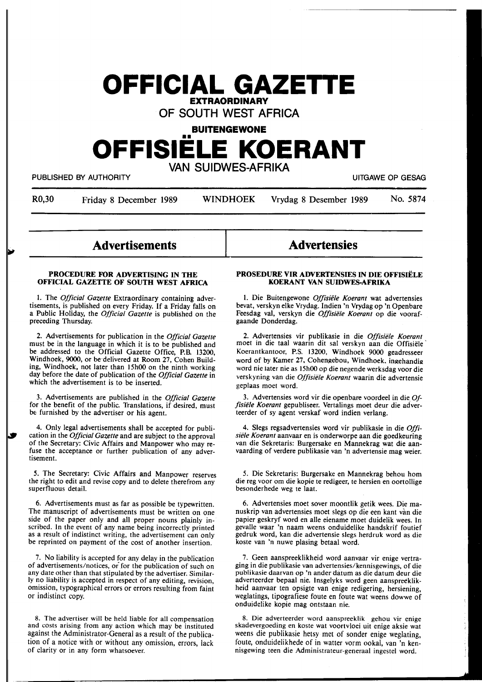# **OFFICIAL GAZETTE**

**EXTRAORDINARY** 

**OF SOUTH WEST AFRICA** 

**BUITENGEWONE** 

# •• **OFFISIELE KOERANT**

**VAN SUIDWES-AFRIKA** 

PUBLISHED BY AUTHORITY **EXECUTE A SECURE 2018 THE SECURE 2019 OF SESAG** PUBLISHED BY AUTHORITY

R0,30 Friday 8 December 1989 WINDHOEK Vrydag 8 Desember 1989 No. 5874

# **Advertisements**

### **PROCEDURE FOR ADVERTISING IN THE OFFICIAL GAZETTE OF SOUTH WEST AFRICA**

1. The *Official Gazette* Extraordinary containing advertisements, is published on every Friday. If a Friday falls on a Public Holiday, the *Official Gazette* is published on the preceding Thursday.

2. Advertisements for publication in the *Official Gazette*  must be in the language in which it is to be published and be addressed to the Official Gazette Office, P.B. 13200, Windhoek, 9000, or be delivered at Room 27, Cohen Building, Windhoek, not later than 15h00 on the ninth working day before the date of publication of the *Official Gazette* in which the advertisement is to be inserted.

3. Advertisements are published in the *Official Gazette*  for the benefit of the public. Translations, if desired, must be furnished by the advertiser or his agent.

4. Only legal advertisements shall be accepted for publication in the *Official Gazette* and are subject to the approval of the Secretary: Civic Affairs and Manpower who may refuse the acceptance or further publication of any advertisement.

5. The Secretary: Civic Affairs and Manpower reserves the right to edit and revise copy and to delete therefrom any superfluous detail.

6. Advertisements must as far as possible be typewritten. The manuscript of advertisements must be written on one side of the paper only and all proper nouns plainly inscribed. In the event of any name being incorrectly printed as a result of indistinct writing, the advertisement can only be reprinted on payment of the cost of another insertion.

7. No liability is accepted for any delay in the publication of advertisements/notices, or for the publication of such on any date other than that stipulated by the advertiser. Similarly no liability is accepted in respect of any editing, revision, omission, typographical errors or errors resulting from faint or indistinct copy.

8. The advertiser will be held liable for all compensation and costs arising from any action which may be instituted against the Administrator-General as a result of the publication of a notice with or without any omission, errors, lack of clarity or in any form whatsoever.

# **Advertensies**

### **PROSEDURE VIK ADVERTENSIES IN DIE OFFISIELE KOERANT VAN SUIDWES-AFRIKA**

1. Die Buitengewone *Offisiele Koerant* wat advertensies bevat, verskyn elke Vrydag. Indien 'n Vrydag op 'n Openbare Feesdag val, verskyn die *Offisiële Koerant* op die voorafgaande Donderdag.

2. Advertensies vir publikasie in die *Offisiele Koerant*  moet in die taal waarin dit sal verskyn aan die Offisiele' Koerantkantoor, **P.S.** 13200, Windhoek 9000 geadresseer word of by Kamer 27, Cohengebou, Windhoek. ingehandig word nie later nie as 15h00 op die negende werksdag voor die verskyning van die *Offisiele Koerant* waarin die advertensie geplaas moet word.

3. Advertensies word vir die openbare voordeel in die\_ *Offisiele Koerant* gepubliseer. Vertalings moet deur die adverteerder of sy agent verskaf word indien verlang.

4. Slegs regsadvertensies word vir publikasie in die *Offisiele Koerant* aanvaar en is onderworpe aan die goedkeuring van die Sekretaris: Burgersake en Mannekrag wat die aanvaarding of verdere publikasie van 'n advertensie mag weier.

5. Die Sekretaris: Burgersake en Mannekrag behou horn die reg voor om die kopie te redigeer, te hersien en oortollige besonderhede weg te laat.

6. Advertensies moet sover moontlik getik wees. Die manuskrip van advertensies moet slegs op die een kant van die papier geskryf word en alle eiename moet duidelik wees. In gevalle waar 'n naam weens onduidelike handskrif foutief gedruk word, kan die advertensie slegs herdruk word as die koste van 'n nuwe plasing betaal word.

7. Geen aanspreeklikheid word aanvaar vir enige vertraging in die publikasie van advertensies/kennisgewings, of die publikasie daarvan op 'n ander datum as die datum deur die adverteerder bepaal nie. lnsgelyks word geen aanspreeklikheid aanvaar ten opsigte van enige redigering, hersiening, weglatings, tipografiese foute en foute wat weens dowwe of onduidelike kopie mag ontstaan nie.

8. Die adverteerder word aanspreeklik gehou vir enige skadevergoeding en koste wat voortvloei uit enige aksie wat weens die publikasie hetsy met of sonder enige weglating, foute, onduidelikhede of in watter vorm ookal, van 'n kennisgewing teen die Administrateur-generaal ingestel word.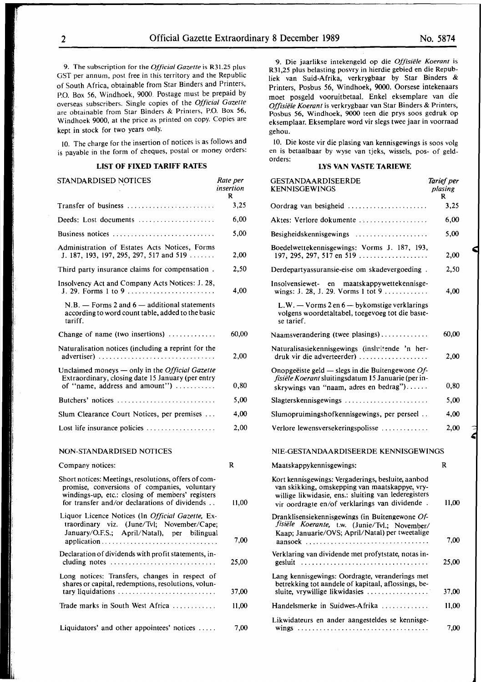2 Official Gazette Extraordinary 8 December 1989 No. 5874

9. The subscription for the *Official Gazette* is R31.25 plus GST per annum, post free in this territory and the Republic of South Africa, obtainable from Star Binders and Printers, P.O. Box 56, Windhoek, 9000. Postage must be prepaid by overseas subscribers. Single copies of the *Official Gazette*  are obtainable from Star Binders & Printers, P.O. Box 56, Windhoek 9000, at the price as printed on copy. Copies are kept in stock for two years only.

10. The charge for the insertion of notices is as follows and is payable in the form of cheques, postal or money orders:

# **LIST OF FIXED TARIFF RATES**

| STANDARDISED NOTICES                                                                                                                            | Rate per<br>insertion<br>R |
|-------------------------------------------------------------------------------------------------------------------------------------------------|----------------------------|
| Transfer of business                                                                                                                            | 3,25                       |
| Deeds: Lost documents                                                                                                                           | 6,00                       |
| Business notices                                                                                                                                | 5,00                       |
| Administration of Estates Acts Notices, Forms<br>J. 187, 193, 197, 295, 297, 517 and 519                                                        | 2,00                       |
| Third party insurance claims for compensation.                                                                                                  | 2,50                       |
| Insolvency Act and Company Acts Notices: J. 28,<br>J. 29. Forms 1 to 9                                                                          | 4,00                       |
| $N.B.$ - Forms 2 and $6$ - additional statements<br>according to word count table, added to the basic<br>tariff.                                |                            |
| Change of name (two insertions)                                                                                                                 | 60,00                      |
| Naturalisation notices (including a reprint for the<br>advertiser)                                                                              | 2,00                       |
| Unclaimed moneys $-$ only in the <i>Official Gazette</i><br>Extraordinary, closing date 15 January (per entry<br>of "name, address and amount") | 0,80                       |
| Butchers' notices                                                                                                                               | 5,00                       |
| Slum Clearance Court Notices, per premises                                                                                                      | 4,00                       |
| Lost life insurance policies                                                                                                                    | 2,00                       |
| NON-STANDARDISED NOTICES                                                                                                                        |                            |
| Company notices:                                                                                                                                | R                          |

| Short notices: Meetings, resolutions, offers of com-<br>promise, conversions of companies, voluntary<br>windings-up, etc.: closing of members' registers<br>for transfer and/or declarations of dividends | 11.00 |
|-----------------------------------------------------------------------------------------------------------------------------------------------------------------------------------------------------------|-------|
| Liquor Licence Notices (In <i>Official Gazette</i> , Ex-<br>traordinary viz. (June/Tvl: November/Cape;<br>January/O.F.S.; April/Natal), per bilingual                                                     | 7,00  |
| Declaration of dividends with profit statements, in-<br>cluding notes                                                                                                                                     | 25.00 |
| Long notices: Transfers, changes in respect of<br>shares or capital, redemptions, resolutions, volun-<br>tary liquidations                                                                                | 37,00 |
| Trade marks in South West Africa                                                                                                                                                                          | 11,00 |
| Liquidators' and other appointees' notices $\dots$ .                                                                                                                                                      | 7.00  |

·9\_ Die jaarlikse intekengeld op die *Offisie/e Koerant* is R31,25 plus belasting posvry in hierdie gebied en die Republiek van Suid-Afrika, verkrygbaar by Star Binders & Printers, Posbus 56, Windhoek, 9000. Oorsese intekenaars moet posgeld vooruitbetaal. Enke! eksemplare van die *Offisiele Koerant* is verkrygbaar van Star Binders & Printers, Posbus 56, Windhoek, 9000 teen die prys soos gedruk op eksemplaar. Eksemplare word vir slegs twee jaar in voorraad gehou.

10. Die koste vir die plasing van kennisgewings is soos volg en is betaalbaar by wyse van tjeks, wissels, pos- of geldorders:

# **LYS VAN VASTE TARIEWE**

| <b>GESTANDAARDISEERDE</b><br>KENNISGEWINGS                                                                                                                                                                     | Tarief per<br>plasing<br>R |
|----------------------------------------------------------------------------------------------------------------------------------------------------------------------------------------------------------------|----------------------------|
| Oordrag van besigheid                                                                                                                                                                                          | 3,25                       |
| Aktes: Verlore dokumente                                                                                                                                                                                       | 6,00                       |
|                                                                                                                                                                                                                | 5,00                       |
| Boedelwettekennisgewings: Vorms J. 187, 193,<br>197, 295, 297, 517 en 519                                                                                                                                      | 2,00                       |
| Derdepartyassuransie-eise om skadevergoeding.                                                                                                                                                                  | 2,50                       |
| Insolvensiewet- en maatskappywettekennisge-                                                                                                                                                                    | 4,00                       |
| $L.W. - V \text{orms } 2$ en $6 - byk$ omstige verklarings<br>volgens woordetaltabel, toegevoeg tot die basie-<br>se tarief.                                                                                   |                            |
| Naamsverandering (twee plasings)                                                                                                                                                                               | 60,00                      |
| Naturalisasiekennisgewings (insluitende 'n her-<br>druk vir die adverteerder)                                                                                                                                  | 2,00                       |
| Onopgeëiste geld — slegs in die Buitengewone $Of$ -<br>fisiële Koerant sluitingsdatum 15 Januarie (per in-<br>skrywings van "naam, adres en bedrag")                                                           | 0,80                       |
| $Slagterskenn isgewings \ldots \ldots \ldots \ldots \ldots \ldots \ldots$                                                                                                                                      | 5,00                       |
| Slumopruimingshofkennisgewings, per perseel                                                                                                                                                                    | 4,00                       |
| Verlore lewensversekeringspolisse                                                                                                                                                                              | 2,00                       |
| NIE-GESTANDAARDISEERDE KENNISGEWINGS                                                                                                                                                                           |                            |
| Maatskappykennisgewings:                                                                                                                                                                                       | R                          |
| Kort kennisgewings: Vergaderings, besluite, aanbod<br>van skikking, omskepping van maatskappye, vry-<br>willige likwidasie, ens.: sluiting van lederegisters<br>vir oordragte en/of verklarings van dividende. | 11,00                      |
| Dranklisensiekennisgewings (in Buitengewone Of-<br>fisiële Koerante, t.w. (Junie/Tvl.; November/<br>Kaap; Januarie/OVS; April/Natal) per tweetalige<br>aansoek                                                 | 7,00                       |
| Verklaring van dividende met profytstate, notas in-<br>gesluit                                                                                                                                                 | 25,00                      |
| Lang kennisgewings: Oordragte, veranderings met<br>betrekking tot aandele of kapitaal, aflossings, be-<br>sluite, vrywillige likwidasies                                                                       | 37,00                      |
| Handelsmerke in Suidwes-Afrika                                                                                                                                                                                 | 11,00                      |
| Likwidateurs en ander aangesteldes se kennisge-                                                                                                                                                                |                            |
|                                                                                                                                                                                                                | 7,00                       |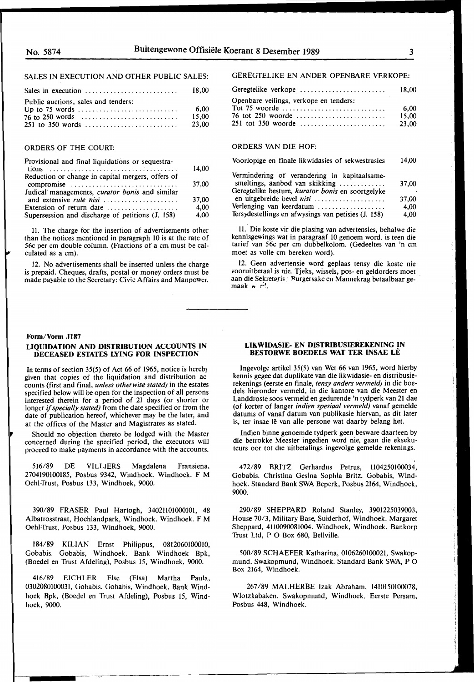# SALES IN EXECUTION AND OTHER PUBLIC SALES:

|                                     | 18.00                   |
|-------------------------------------|-------------------------|
| Public auctions, sales and tenders: | -6.00<br>15.00<br>23.00 |

# ORDERS OF THE COURT:

| Provisional and final liquidations or sequestra-          | 14.00 |
|-----------------------------------------------------------|-------|
| Reduction or change in capital mergers, offers of         |       |
| compromise                                                | 37,00 |
| Judical managements, <i>curator bonis</i> and similar     |       |
|                                                           | 37,00 |
| Extension of return date $\dots\dots\dots\dots\dots\dots$ | 4.00  |
| Supersession and discharge of petitions (J. 158)          | 4.00  |

11. The charge for the insertion of advertisements other than the notices mentioned in paragraph 10 is at the rate of 56c per cm double column. (Fractions of a cm must be calculated as a cm).

12. No advertisements shall be inserted unless the charge is prepaid. Cheques, drafts, postal or money orders must be made payable to the Secretary: Civic Affairs and Manpower.

#### **Form/Vorm Jl87**

#### **LIQUIDATION AND DISTRIBUTION ACCOUNTS IN DECEASED ESTATES LYING FOR INSPECTION**

In **terms** of section 35(5) of Act 66 of 1965, notice is hereb) given that copies of the liquidation and distribution ac counts (first and final, *unless otherwise stated)* in the estates specified below will be open for the inspection of all persons interested therein for a period of 21 days (or shorter or longer if *specially stated)* from the date specified or from the date of publication hereof, whichever may be the later, and at the offices of the Master and Magistrates as stated.

Should no objection thereto be lodged with the Master concerned during the specified period, the executors will proceed to make payments in accordance with the accounts.

516/89 DE VILLIERS Magdalena Fransiena, 2704190100185, Posbus 9342, Windhoek. Windhoek. F M Oehl-Trust, Posbus 133, Windhoek, 9000.

390/89 FRASER Paul Hartogh, 34021101000101, 48 Albatrosstraat, Hochlandpark, Windhoek. Windhoek. F M Oehl-Trust, Posbus 133, Windhoek, 9000.

184/89 **KILIAN** Ernst Philippus, 0812060100010, Gobabis. Gobabis, Windhoek. Bank Windhoek Bpk, (Boedel en Trust Afdeling), Posbus 15, Windhoek, 9000.

416/89 EICHLER Else (Elsa) Martha Paula, 0302080100031, Gobabis. Gobahis, Windhoek. Bank Windhoek Bpk, (Boedel en Trust Afdeling), Posbus 15, Windhoek, 9000.

# GEREGTELIKE EN ANDER OPENBARE VERKOPE:

| Geregtelike verkope                                                         | 18.00 |
|-----------------------------------------------------------------------------|-------|
| Openbare veilings, verkope en tenders:                                      |       |
| Tot 75 woorde $\dots \dots \dots \dots \dots \dots \dots \dots \dots \dots$ | 6.00  |
| 76 tot 250 woorde                                                           | 15.00 |
|                                                                             | 23.00 |
|                                                                             |       |

## ORDERS VAN DIE HOF:

| Voorlopige en finale likwidasies of sekwestrasies | 14.00 |
|---------------------------------------------------|-------|
| Vermindering of verandering in konitaalsome       |       |

| Vermindering of verandering in kapitaalsame-        |           |
|-----------------------------------------------------|-----------|
| smeltings, aanbod van skikking                      | 37.00     |
| Geregtelike besture, kurator bonis en soortgelyke   | $\bullet$ |
| en uitgebreide bevel nisi                           | 37,00     |
| Verlenging van keerdatum                            | 4.00      |
| Tersydestellings en afwysings van petisies (J. 158) | 4.00      |

11. Die koste vir die plasing van advertensies, behalwe die kennisgewings wat in paragraaf 10 genoem word. is teen die tarief van 56c per cm dubbelkolom. (Gedeeltes van 'n cm moet as voile cm bereken word).

12. Geen advertensie word geplaas tensy die koste nie vooruitbetaal is nie. Tjeks, wissels, pos- en geldorders moet aan die Sekretaris · Purgersake en Mannekrag betaalbaar gemaak  $\mathbf{w}$  r.

### **LIKWIDASIE- EN DISTRIBUSIEREKENING IN BESIDRWE BOEDELS WAT TER INSAE LE**

lngevolge artikel 35(5) van Wet 66 van 1965, word hierby kennis gegee dat duplikate van die likwidasie- en distribusierekenings (eerste en finale, *tensy anders vermeld)* in die boedels hieronder vermeld, in die kantore van die Meester en Landdroste soos vermeld en gedurende 'n tydperk van 21 dae (of korter of langer *indien spesiaal vermeld)* vanaf gemelde datums of vanaf datum van publikasie hiervan, as dit later is, ter insae lê van alle persone wat daarby belang het.

Indien binne genoemde tydperk geen besware daarteen by die betrokke Meester ingedien word nie, gaan die eksekuteurs oor tot die uitbetalings ingevolge gemelde rekenings.

472/89 BRITZ Gerhardus Petrus, 1104250100034, Gobabis. Christina Gesina Sophia Britz. Gobabis, Windhoek. Standard Bank SWA Beperk, Posbus 2164, Windhoek, 9000.

290/89 SHEPPARD Roland Stanley, 3901225039003, House 70/3, Military Base, Suiderhof, Windhoek. Margaret Sheppard, 4110090081004. Windhoek, Windhoek. Bankorp Trust Ltd, P O Box 680, Bellville.

500/89 SCHAEFER Katharina, 0106260100021, Swakopmund. Swakopmund, Windhoek. Standard Bank SWA, P 0 Box 2164, Windhoek.

267/89 MALHERBE Izak Abraham, 1410150100078, Wlotzkabaken. Swakopmund, Windhoek. Eerste Persam, Posbus 448, Windhoek.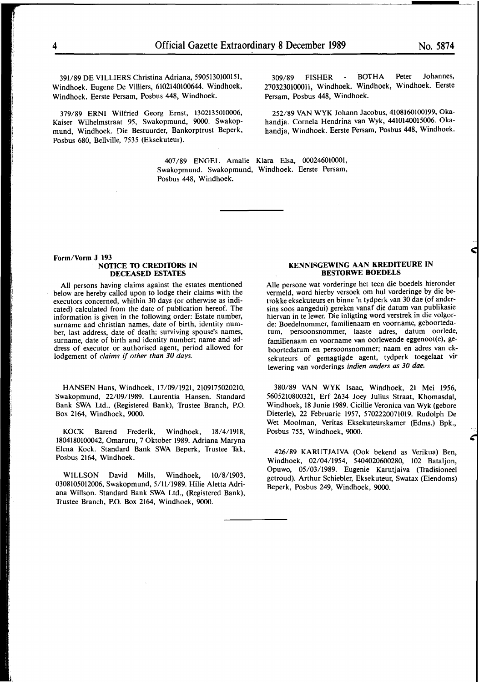391/89 DE VILLIERS Christina Adriana, 5905130100151, Windhoek. Eugene De Villiers, 6102140100644. Windhoek, Windhoek. Eerste Persam, Posbus 448, Windhoek.

379/89 ERNI Wilfried Georg Ernst, 1302135010006, Kaiser Wilhelmstraat 95, Swakopmund, 9000. Swakopmund, Windhoek. Die Bestuurder, Bankorptrust Beperk, Posbus 680, Bellville, 7535 (Eksekuteur).

309/89 FISHER - BOTHA Peter Johannes, 2703230100011, Windhoek. Windhoek, Windhoek. Eerste Persam, Posbus 448, Windhoek.

252/89 VAN WYK Johann Jacobus, 4108160100199, Okahandja. Cornela Hendrina van Wyk, 4410140015006. Okahandja, Windhoek. Eerste Persam, Posbus 448, Windhoek.

407 /89 ENGEL Amalie Klara Elsa, 000246010001, Swakopmund. Swakopmund, Windhoek. Eerste Persam, Posbus 448, Windhoek.

#### **Form/Vorm J 193 NOTICE TO CREDITORS IN DECEASED ESTATES**

All persons having claims against the estates mentioned below are hereby called upon to lodge their claims with the executors concerned, whithin 30 days (or otherwise as indicated) calculated from the date of publication hereof. The information is given in the following order: Estate number, surname and christian names, date of birth, identity number, last address, date of death; surviving spouse's names, surname, date of birth and identity number; name and address of executor or authorised agent, period allowed for lodgement of *claims* if *other than 30 days.* 

HANSEN Hans, Windhoek, 17/09/1921, 2109175020210, Swakopmund, 22/09/1989. Laurentia Hansen. Standard Bank SWA Ltd., (Registered Bank), Trustee Branch, P.O. Box 2164, Windhoek, 9000.

KOCK Barend Frederik, Windhoek, 18/4/1918, 1804180100042, Omaruru, 7 Oktober 1989. Adriana Maryna Elena Kock. Standard Bank SWA Beperk, Trustee Tak, Posbus 2164, Windhoek.

WILLSON David Mills, Windhoek, 10/8/1903, 0308105012006, Swakopmund, 5/11/1989. Hilie Aletta Adriana Willson. Standard Bank SWA Ltd., (Registered Bank), Trustee Branch, P.O. Box 2164, Windhoek, 9000.

# **KENNISGEWING AAN KREDITEURE IN BESTORWE BOEDELS**

Alie persone wat vorderinge het teen die boedels hieronder vermeld, word hierby versoek om hul vorderinge by die betrokke eksekuteurs en binne 'n tydperk van 30 dae (of andersins soos aangedui) gereken vanaf die datum van publikasie hiervan in te lewer. Die inligting word verstrek in die volgorde: Boedelnommer, familienaam en voorname, geboortedatum, persoonsnommer, laaste adres, datum oorlede, familienaam en voorname van oorlewende eggenoot(e), geboortedatum en persoonsnommer; naam en adres van eksekuteurs of gemagtigde agent, tydperk toegelaat vir lewering van vorderings *indien anders as 30 dae.* 

380/89 VAN WYK Isaac, Windhoek, 21 Mei 1956, 5605210800321, Erf 2634 Joey Julius Straat, Khomasdal, Windhoek, 18 Junie 1989. Cicillie Veronica van Wyk (gebore Dieterle), 22 Februarie 1957, 5702220071019. Rudolph De Wet Moolman, Veritas Eksekuteurskamer (Edms.) Bpk., Posbus 755, Windhoek, 9000.

426/89 **KARUTJAIVA** (Ook bekend as Verikua) Ben, Windhoek, 02/04/1954, 5404020600280, 102 Bataljon, Opuwo, 05/03/1989. Eugenie Karutjaiva (Tradisioneel getroud). Arthur Schiebler, Eksekuteur, Swatax (Eiendoms) Beperk, Posbus 249, Windhoek, 9000.

i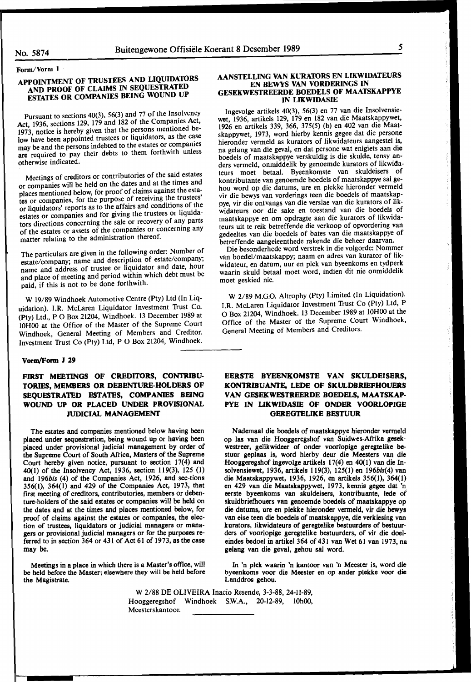**Form/Vorm 1** 

# **APPOINTMENT OF TRUSTEES AND LIQUIDATORS AND PROOF OF CLAIMS IN SEQUESTRATED ESTATES OR COMPANIES BEING WOUND UP**

Pursuant to sections 40(3), 56(3) and 77 of the Insolvency Act, 1936, sections 129, 179 and 182 of the Companies Act, 1973, notice is hereby given that the persons mentioned below have been appointed trustees or liquidators, as the case may be and the persons indebted to the estates or companies are required to pay their debts to them forthwith unless otherwise indicated.

Meetings of creditors or contributories of the said estates or companies will be held on the dates and at the times and places mentioned below, for proof of claims against the estates or companies, for the purpose of receiving the trustees' or liquidators' reports as to the affairs and conditions of the estates or companies and for giving the trustees or liquidators directions concerning the sale or recovery of any parts of the estates or assets of the companies or concerning any matter relating to the administration thereof.

The particulars are given in the following order: Number of estate/company; name and description of estate/company; name and address of trustee or liquidator and date, hour and place of meeting and period within which debt must be paid, if this is not to be done forthwith.

**W** 19/89 Windhoek Automotive Centre (Pty) Ltd (In Liquidation). I.R. McLaren Liquidator Investment Trust Co. (Pty) Ltd., P O Box 21204, Windhoek. 13 December 1989 at IOHOO at the Office of the Master of the Supreme Court Windhoek, General Meeting of Members and Creditor. Investment Trust Co (Pty) Ltd, P O Box 21204, Windhoek.

#### **Vorm/Form J 29**

# FIRST MEETINGS OF CREDITORS, CONTRIBU-**TORIES, MEMBERS OR DEBENTURE-HOLDERS OF SEQUESTRATED ESTATES, COMPANIES BEING WOUND UP OR PLACED UNDER PROVISIONAL JUDICIAL MANAGEMENT**

The estates and companies mentioned below having been placed under sequestration, being wound up or having been placed under provisional judicial management by order of the Supreme Court of South Africa, Masters of the Supreme Court hereby given notice, pursuant to section 17(4) and 40(1) of the Insolvency Act, 1936, section 119(3), 125 (1) and 196bis (4) of the Companies Act, 1926, and sec-tions 356(1), 364(1) and 429 of the Companies Act, 1973, that first meeting of creditors, contributories, members or debenture-holders of the said estates or companies will be held on the dates and at the times and places mentioned below, for proof of claims against the estates or companies, the election of trustees, liquidators or judicial managers or managers or provisional judicial managers or for the purposes referred to in section 364 or 431 of Act 61 of 1973, as the case may be.

Meetings in a place in which there is a Master's office, will be held before the Master; elsewhere they will be held before the Magistrate.

### **AANSTELLING VAN KURATORS EN LIKWIDATEURS EN BEWYS VAN VORDERINGS IN GESEKWESTREERDE BOEDELS OF MAATSKAPPYE IN LIKWIDASIE**

lngevolge artikels 40(3), 56(3) en 77 van die Insolvensiewet, 1936, artikels 129, 179 en 182 van die Maatskappywet, 1926 en artikels 339, 366, 375(5) (b) en 402 van die Maatskappywet, 1973, word hierby kennis gegee dat die persone hieronder vermeld as kurators of Iikwidateurs aangestel is, na gelang van die geval, en dat persone wat enigiets aan **die**  boedels of maatskappye verskuldig is die skulde, tensy anders vermeld, onmiddelik by genoemde kurators of likwidateurs moet betaal. Byeenkomste van skuldeisers of kontributante van genoemde boedels of maatskappye sal gehou word op die datums, ure en plekke hieronder vermeld vir die bewys van vorderings teen die boedels of maatskappye, vir die ontvangs van die verslae van die kurators of likwidateurs oor die sake en toestand van die boedels of maatskappye en om opdragte aan die kurators of likwidateurs uit te reik betreffende die verkoop of opvordering van gedeeltes van die boedels of bates van die maatskappye of betreffende aangeleenthede rakende die beheer daarvan.

Die besonderhede word verstrek in die volgorde: Nommer van boedel/maatskappy; naam en adres van kurator of likwidateur, en datum, uur en plek van byeenkoms en tydperk waarin skuld betaal moet word, indien dit nie onmiddelik moet geskied nie.

W 2/89 M.G.O. Altrophy (Pty) Limited (In Liquidation). I.R. McLaren Liquidator Investment Trust Co (Pty) Ltd, P O Box 21204, Windhoek. 13 December 1989 at lOHOO at the Office of the Master of the Supreme Court Windhoek, General Meeting of Members and Creditors.

# **EERSTE BYEENKOMSTE VAN SKULDEISERS, KONTRIBUANTE,** LEDE **OF SKULDBRIEFHOUERS VAN GESEKWESTREERDE BOEDELS, MAATSKAP-PYE IN LIKWIDASIE OF ONDER VOORLOPIGE GEREGTELIKE BESTUUR**

Nademaal die boedels of maatskappye hieronder vermeld op las van die Hooggeregshof van Suidwes-Afrika **gesek**westreer, gelikwideer of onder voorlopige geregtelike bestuur geplaas is, word hierby deur die Meesters van die Hooggeregshof ingevolge artikels 17(4) en 40(1) van die Insolvensiewet, 1936, artikels 119(3), 125(1) en 196bis(4) van die Maatskappywet, 1936, 1926, en artikels 356(1), 364(1) en 429 van die Maatskappywet, 1973, kennis **gegee** dat 'n eerste byeenkoms van skuldeisers, kontribuante, lede of skuldbriefhouers van genoemde boedels of maatskappye op die datums, ure en plekke hieronder vermeld, vir die bewys van eise teen die boedels of maatskappye, die verkiesing van kurators, likwidateurs of **geregtelike** bestuurders of bestuurders of voorlopige geregtelike bestuurders, of vir die doeleindes bedoel in artikel 364 of 431 van Wet 61 van 1973, na gelang van die geval, gehou sal word.

In 'n plek waarin 'n kantoor van 'n Meester is, word die byeenkoms voor die Meester en op ander **plekke** voor die Landdros gehou.

W 2/88 DE OLIVEIRA Inacio Resende, 3-3-88, 24-II-89, Hooggeregshof Windhoek S.W.A., 20-12-89, 10h00, Meesterskantoor.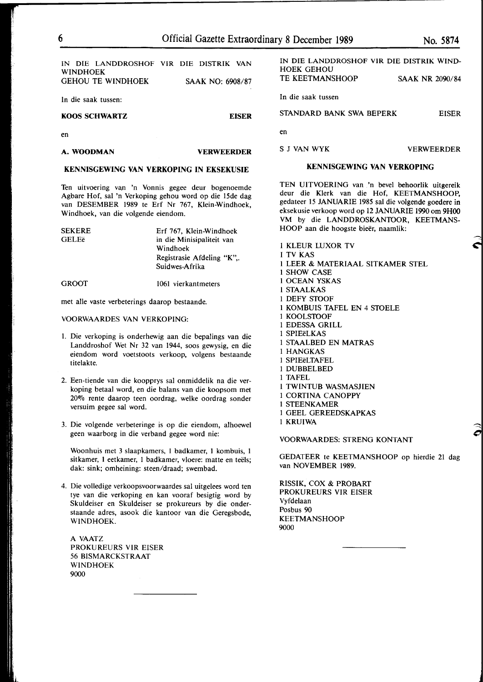IN DIE LANDDROSHOF VIR DIE DISTRIK VAN **WINDHOEK** GEHOU TE WINDHOEK SAAK NO: 6908/87

In die saak tussen:

#### **KOOS SCHWARTZ EISER**

en

## **A.WOODMAN VERWEERDER**

# **KENNISGEWING VAN VERKOPING IN EKSEKUSIE**

Ten uitvoering van 'n Vonnis gegee deur bogenoemde Agbare Hof, sal 'n Verkoping gehou word op die 15de dag van DESEMBER 1989 te Erf Nr 767, Klein-Windhoek, Windhoek, van die volgende eiendom.

| <b>SEKERE</b> | Erf 767, Klein-Windhoek   |
|---------------|---------------------------|
| GELEë         | in die Minisipaliteit van |
|               | Windhoek                  |
|               | Registrasie Afdeling "K"  |
|               | Suidwes-Afrika            |
| <b>GROOT</b>  | 1061 vierkantmeters       |

met alle vaste verbeterings daarop bestaande.

#### VOORWAARDES VAN VERKOPING:

- I. Die verkoping is onderhewig aan die bepalings van die Landdroshof Wet Nr 32 van 1944, soos gewysig, en die eiendom word voetstoots verkoop, volgens bestaande titelakte.
- 2. Een-tiende van die koopprys sal onmiddelik na die verkoping betaal word, en die balans van die koopsom met 20% rente daarop teen oordrag, welke oordrag sonder versuim gegee sal word.
- 3. Die volgende verbeteringe is op die eiendom, alhoewel geen waarborg in die verband gegee word nie:

Woonhuis met 3 slaapkamers, 1 badkamer, I kombuis, I sitkamer, 1 eetkamer, 1 badkamer, vloere: matte en teëls; dak: sink; omheining: steen/draad; swembad.

4. Die volledige verkoopsvoorwaardes sal uitgelees word ten tye van die verkoping en kan vooraf besigtig word by Skuldeiser en Skuldeiser se prokureurs by die onderstaande adres, asook die kantoor van die Geregsbode, WINDHOEK.

A VAATZ PROKUREURS VIR EISER 56 BISMARCKSTRAAT WINDHOEK 9000

SAAK NR 2090/84 In die saak tussen STANDARD BANK SWA BEPERK EISER en S J VAN WYK VERWEERDER

#### **KENNISGEWING VAN VERKOPING**

TEN UITVOERING van 'n bevel behoorlik uitgereik deur die Klerk van die Hof, KEETMANSHOOP, gedateer 15 JANUARIE 1985 sal die volgende goedere in eksekusie verkoop word op 12 JANUARIE 1990 om **9HOO**  VM by die LANDDROSKANTOOR, KEETMANS-HOOP aan die hoogste bieër, naamlik:

1 KLEUR LUXOR TV I TV KAS I LEER & MATERIAAL SITKAMER STEL I SHOW CASE I OCEAN YSKAS I STAALKAS 1 DEFY STOOF 1 KOMBUIS TAFEL EN 4 STOELE 1 KOOLSTOOF I EDESSA GRILL I SPIEeLKAS I STAALBED EN MATRAS I HANGKAS I SPIEeLTAFEL I DUBBELBED I TAFEL I TWINTUB WASMASJIEN I CORTINA CANOPPY I STEENKAMER I GEEL GEREEDSKAPKAS I KRUIWA

VOORWAARDES: STRENG KONTANT

GEDATEER te KEETMANSHOOP op hierdie 21 dag van NOVEMBER 1989.

RISSIK, COX & PROBART PROKUREURS VIR EISER Vyfdelaan Posbus 90 KEETMANSHOOP 9000

 $\trianglelefteq$